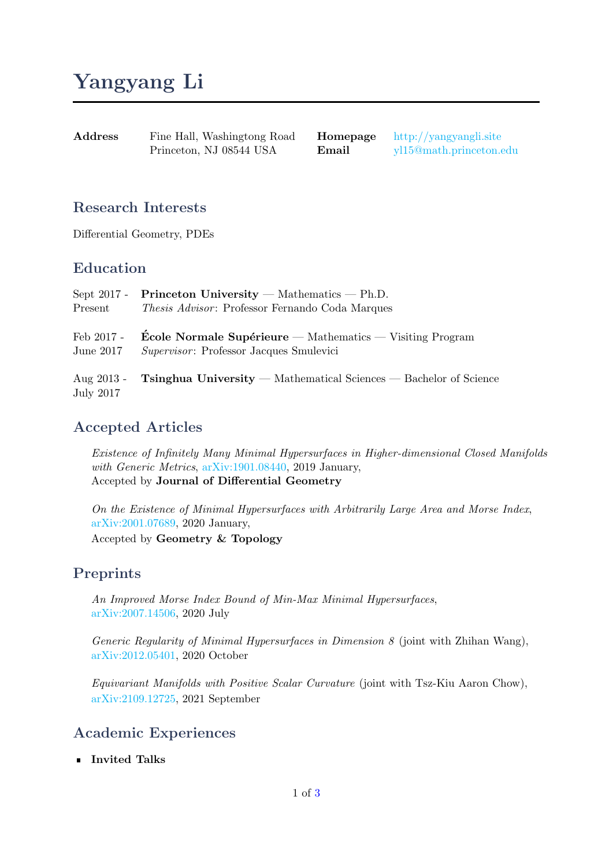# Yangyang Li

Address Fine Hall, Washingtong Road Princeton, NJ 08544 USA

Homepage <http://yangyangli.site> Email [yl15@math.princeton.edu](mailto:yl15@math.princeton.edu)

#### Research Interests

Differential Geometry, PDEs

#### Education

| Present                   | Sept 2017 - Princeton University — Mathematics — Ph.D.<br><i>Thesis Advisor</i> : Professor Fernando Coda Marques                   |
|---------------------------|-------------------------------------------------------------------------------------------------------------------------------------|
| Feb 2017 -<br>June $2017$ | $\text{École Normale Supérieure} - \text{Mathematics} - \text{Visiting Program}$<br><i>Supervisor</i> : Professor Jacques Smulevici |
| July 2017                 | Aug 2013 - Tsinghua University — Mathematical Sciences — Bachelor of Science                                                        |

#### Accepted Articles

Existence of Infinitely Many Minimal Hypersurfaces in Higher-dimensional Closed Manifolds with Generic Metrics, [arXiv:1901.08440,](https://arxiv.org/abs/1901.08440) 2019 January, Accepted by Journal of Differential Geometry

On the Existence of Minimal Hypersurfaces with Arbitrarily Large Area and Morse Index, [arXiv:2001.07689,](https://arxiv.org/abs/2001.07689) 2020 January,

Accepted by Geometry & Topology

#### Preprints

An Improved Morse Index Bound of Min-Max Minimal Hypersurfaces, [arXiv:2007.14506,](https://arxiv.org/abs/2007.14506) 2020 July

Generic Regularity of Minimal Hypersurfaces in Dimension  $\mathcal{S}$  (joint with Zhihan Wang), [arXiv:2012.05401,](https://arxiv.org/abs/2012.05401) 2020 October

Equivariant Manifolds with Positive Scalar Curvature (joint with Tsz-Kiu Aaron Chow), [arXiv:2109.12725,](https://arxiv.org/abs/2109.12725) 2021 September

### Academic Experiences

**I**nvited Talks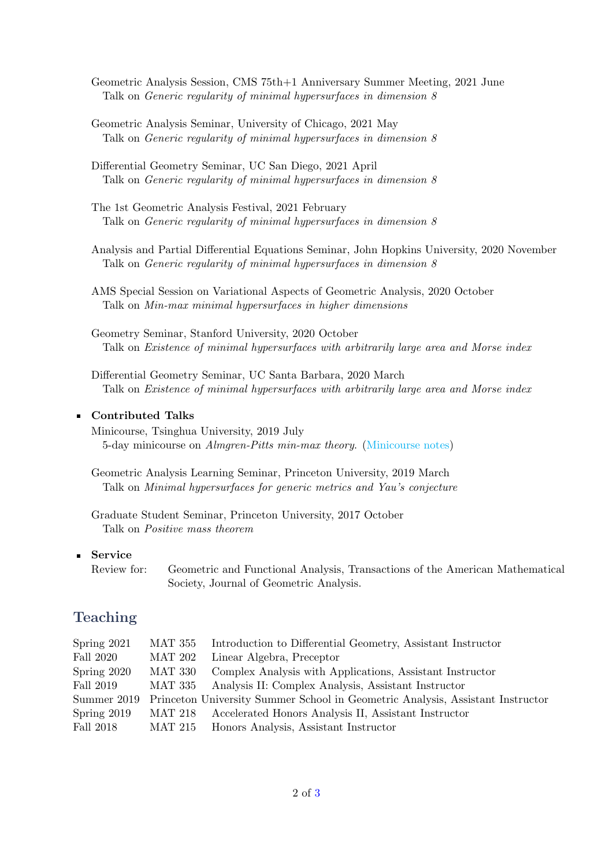Geometric Analysis Session, CMS 75th+1 Anniversary Summer Meeting, 2021 June Talk on Generic regularity of minimal hypersurfaces in dimension 8

Geometric Analysis Seminar, University of Chicago, 2021 May Talk on Generic regularity of minimal hypersurfaces in dimension 8

Differential Geometry Seminar, UC San Diego, 2021 April Talk on Generic regularity of minimal hypersurfaces in dimension 8

The 1st Geometric Analysis Festival, 2021 February Talk on Generic regularity of minimal hypersurfaces in dimension 8

Analysis and Partial Differential Equations Seminar, John Hopkins University, 2020 November Talk on Generic regularity of minimal hypersurfaces in dimension 8

AMS Special Session on Variational Aspects of Geometric Analysis, 2020 October Talk on Min-max minimal hypersurfaces in higher dimensions

Geometry Seminar, Stanford University, 2020 October Talk on Existence of minimal hypersurfaces with arbitrarily large area and Morse index

Differential Geometry Seminar, UC Santa Barbara, 2020 March Talk on Existence of minimal hypersurfaces with arbitrarily large area and Morse index

#### Contributed Talks

Minicourse, Tsinghua University, 2019 July 5-day minicourse on Almgren-Pitts min-max theory. [\(Minicourse notes\)](https://web.math.princeton.edu/~yl15/notes/2019-min-max/Notes.pdf)

Geometric Analysis Learning Seminar, Princeton University, 2019 March Talk on Minimal hypersurfaces for generic metrics and Yau's conjecture

Graduate Student Seminar, Princeton University, 2017 October Talk on Positive mass theorem

#### Service  $\blacksquare$

Review for: Geometric and Functional Analysis, Transactions of the American Mathematical Society, Journal of Geometric Analysis.

#### Teaching

| Spring $2021$ | MAT 355        | Introduction to Differential Geometry, Assistant Instructor                    |
|---------------|----------------|--------------------------------------------------------------------------------|
| Fall 2020     | <b>MAT 202</b> | Linear Algebra, Preceptor                                                      |
| Spring 2020   | MAT 330        | Complex Analysis with Applications, Assistant Instructor                       |
| Fall 2019     | MAT 335        | Analysis II: Complex Analysis, Assistant Instructor                            |
| Summer 2019   |                | Princeton University Summer School in Geometric Analysis, Assistant Instructor |
| Spring $2019$ |                | MAT 218 Accelerated Honors Analysis II, Assistant Instructor                   |
| Fall 2018     | MAT 215        | Honors Analysis, Assistant Instructor                                          |